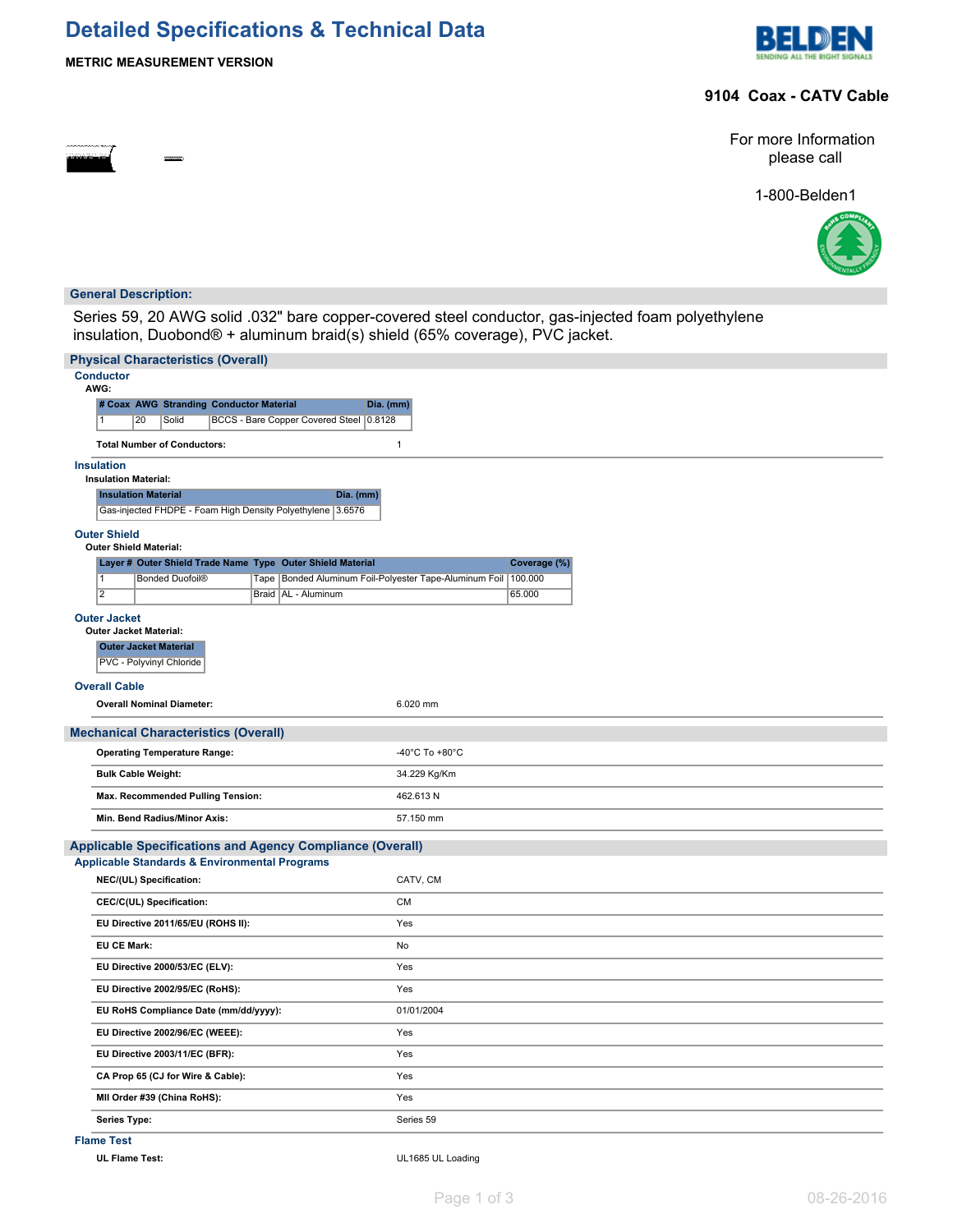# **Detailed Specifications & Technical Data**





### **9104 Coax - CATV Cable**

For more Information please call

1-800-Belden1



#### **General Description:**

Series 59, 20 AWG solid .032" bare copper-covered steel conductor, gas-injected foam polyethylene insulation, Duobond® + aluminum braid(s) shield (65% coverage), PVC jacket.

| <b>Physical Characteristics (Overall)</b>                              |                                                                    |  |  |  |  |  |  |  |  |
|------------------------------------------------------------------------|--------------------------------------------------------------------|--|--|--|--|--|--|--|--|
| <b>Conductor</b><br>AWG:                                               |                                                                    |  |  |  |  |  |  |  |  |
| # Coax AWG Stranding Conductor Material<br>Dia. (mm)                   |                                                                    |  |  |  |  |  |  |  |  |
| BCCS - Bare Copper Covered Steel 0.8128<br>20<br>Solid                 |                                                                    |  |  |  |  |  |  |  |  |
| <b>Total Number of Conductors:</b><br>$\mathbf{1}$                     |                                                                    |  |  |  |  |  |  |  |  |
| <b>Insulation</b>                                                      |                                                                    |  |  |  |  |  |  |  |  |
| <b>Insulation Material:</b><br><b>Insulation Material</b><br>Dia. (mm) |                                                                    |  |  |  |  |  |  |  |  |
| Gas-injected FHDPE - Foam High Density Polyethylene 3.6576             |                                                                    |  |  |  |  |  |  |  |  |
| <b>Outer Shield</b><br><b>Outer Shield Material:</b>                   |                                                                    |  |  |  |  |  |  |  |  |
| Layer # Outer Shield Trade Name Type Outer Shield Material             | Coverage (%)                                                       |  |  |  |  |  |  |  |  |
| $\overline{1}$<br><b>Bonded Duofoil®</b>                               | Tape   Bonded Aluminum Foil-Polyester Tape-Aluminum Foil   100.000 |  |  |  |  |  |  |  |  |
| $\overline{2}$<br>Braid   AL - Aluminum                                | 65.000                                                             |  |  |  |  |  |  |  |  |
| <b>Outer Jacket</b><br><b>Outer Jacket Material:</b>                   |                                                                    |  |  |  |  |  |  |  |  |
| <b>Outer Jacket Material</b>                                           |                                                                    |  |  |  |  |  |  |  |  |
| PVC - Polyvinyl Chloride                                               |                                                                    |  |  |  |  |  |  |  |  |
| <b>Overall Cable</b>                                                   |                                                                    |  |  |  |  |  |  |  |  |
| <b>Overall Nominal Diameter:</b>                                       | 6.020 mm                                                           |  |  |  |  |  |  |  |  |
| <b>Mechanical Characteristics (Overall)</b>                            |                                                                    |  |  |  |  |  |  |  |  |
| <b>Operating Temperature Range:</b>                                    | -40°C To +80°C                                                     |  |  |  |  |  |  |  |  |
| <b>Bulk Cable Weight:</b>                                              | 34.229 Kg/Km                                                       |  |  |  |  |  |  |  |  |
| Max. Recommended Pulling Tension:                                      | 462.613N                                                           |  |  |  |  |  |  |  |  |
| Min. Bend Radius/Minor Axis:                                           | 57.150 mm                                                          |  |  |  |  |  |  |  |  |
| <b>Applicable Specifications and Agency Compliance (Overall)</b>       |                                                                    |  |  |  |  |  |  |  |  |
| <b>Applicable Standards &amp; Environmental Programs</b>               |                                                                    |  |  |  |  |  |  |  |  |
| NEC/(UL) Specification:                                                | CATV, CM                                                           |  |  |  |  |  |  |  |  |
| CEC/C(UL) Specification:                                               | <b>CM</b>                                                          |  |  |  |  |  |  |  |  |
| EU Directive 2011/65/EU (ROHS II):                                     | Yes                                                                |  |  |  |  |  |  |  |  |
| <b>EU CE Mark:</b>                                                     | No                                                                 |  |  |  |  |  |  |  |  |
| EU Directive 2000/53/EC (ELV):                                         | Yes                                                                |  |  |  |  |  |  |  |  |
| EU Directive 2002/95/EC (RoHS):                                        | Yes                                                                |  |  |  |  |  |  |  |  |
| EU RoHS Compliance Date (mm/dd/yyyy):                                  | 01/01/2004                                                         |  |  |  |  |  |  |  |  |
| EU Directive 2002/96/EC (WEEE):                                        | Yes                                                                |  |  |  |  |  |  |  |  |
| EU Directive 2003/11/EC (BFR):                                         | Yes                                                                |  |  |  |  |  |  |  |  |
| CA Prop 65 (CJ for Wire & Cable):                                      | Yes                                                                |  |  |  |  |  |  |  |  |
| MII Order #39 (China RoHS):                                            | Yes                                                                |  |  |  |  |  |  |  |  |
| Series Type:                                                           | Series 59                                                          |  |  |  |  |  |  |  |  |

**Flame Test**

**UL Flame Test:** UL1685 UL Loading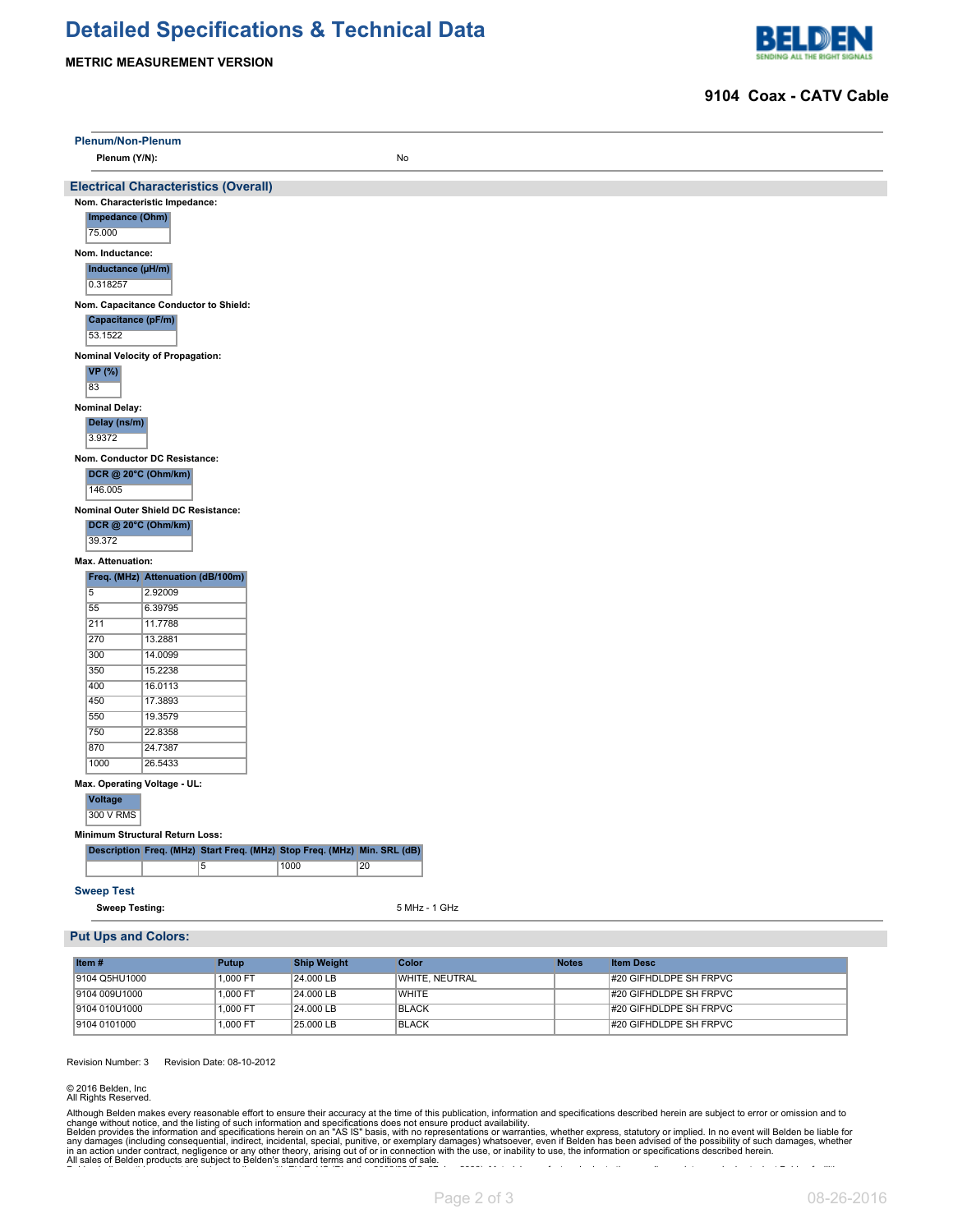## **Detailed Specifications & Technical Data**

#### **METRIC MEASUREMENT VERSION**



#### **9104 Coax - CATV Cable**

|                                       | Plenum/Non-Plenum                                                        |                    |               |              |                  |  |  |  |  |  |
|---------------------------------------|--------------------------------------------------------------------------|--------------------|---------------|--------------|------------------|--|--|--|--|--|
|                                       | Plenum (Y/N):                                                            |                    | No            |              |                  |  |  |  |  |  |
|                                       |                                                                          |                    |               |              |                  |  |  |  |  |  |
|                                       | <b>Electrical Characteristics (Overall)</b>                              |                    |               |              |                  |  |  |  |  |  |
|                                       | Nom. Characteristic Impedance:                                           |                    |               |              |                  |  |  |  |  |  |
|                                       | Impedance (Ohm)                                                          |                    |               |              |                  |  |  |  |  |  |
| 75.000                                |                                                                          |                    |               |              |                  |  |  |  |  |  |
| Nom. Inductance:                      |                                                                          |                    |               |              |                  |  |  |  |  |  |
|                                       | Inductance (µH/m)                                                        |                    |               |              |                  |  |  |  |  |  |
|                                       | 0.318257                                                                 |                    |               |              |                  |  |  |  |  |  |
| Nom. Capacitance Conductor to Shield: |                                                                          |                    |               |              |                  |  |  |  |  |  |
| Capacitance (pF/m)                    |                                                                          |                    |               |              |                  |  |  |  |  |  |
| 53.1522                               |                                                                          |                    |               |              |                  |  |  |  |  |  |
|                                       | Nominal Velocity of Propagation:                                         |                    |               |              |                  |  |  |  |  |  |
| <b>VP</b> (%)                         |                                                                          |                    |               |              |                  |  |  |  |  |  |
| 83                                    |                                                                          |                    |               |              |                  |  |  |  |  |  |
| <b>Nominal Delay:</b>                 |                                                                          |                    |               |              |                  |  |  |  |  |  |
| Delay (ns/m)                          |                                                                          |                    |               |              |                  |  |  |  |  |  |
| 3.9372                                |                                                                          |                    |               |              |                  |  |  |  |  |  |
|                                       | Nom. Conductor DC Resistance:                                            |                    |               |              |                  |  |  |  |  |  |
|                                       | DCR @ 20°C (Ohm/km)                                                      |                    |               |              |                  |  |  |  |  |  |
| 146.005                               |                                                                          |                    |               |              |                  |  |  |  |  |  |
|                                       | Nominal Outer Shield DC Resistance:                                      |                    |               |              |                  |  |  |  |  |  |
|                                       | <b>DCR @ 20°C (Ohm/km)</b>                                               |                    |               |              |                  |  |  |  |  |  |
| 39.372                                |                                                                          |                    |               |              |                  |  |  |  |  |  |
| Max. Attenuation:                     |                                                                          |                    |               |              |                  |  |  |  |  |  |
|                                       | Freq. (MHz) Attenuation (dB/100m)                                        |                    |               |              |                  |  |  |  |  |  |
| $\overline{5}$                        | 2.92009                                                                  |                    |               |              |                  |  |  |  |  |  |
| 55                                    | 6.39795                                                                  |                    |               |              |                  |  |  |  |  |  |
| 211                                   | 11.7788                                                                  |                    |               |              |                  |  |  |  |  |  |
| 270                                   | 13.2881                                                                  |                    |               |              |                  |  |  |  |  |  |
| 300<br>350                            | 14.0099                                                                  |                    |               |              |                  |  |  |  |  |  |
| 400                                   | 15.2238<br>16.0113                                                       |                    |               |              |                  |  |  |  |  |  |
| 450                                   | 17.3893                                                                  |                    |               |              |                  |  |  |  |  |  |
| 550                                   | 19.3579                                                                  |                    |               |              |                  |  |  |  |  |  |
| 750                                   | 22.8358                                                                  |                    |               |              |                  |  |  |  |  |  |
| 870                                   | 24.7387                                                                  |                    |               |              |                  |  |  |  |  |  |
| 1000                                  | 26.5433                                                                  |                    |               |              |                  |  |  |  |  |  |
|                                       | Max. Operating Voltage - UL:                                             |                    |               |              |                  |  |  |  |  |  |
| <b>Voltage</b><br>300 V RMS           |                                                                          |                    |               |              |                  |  |  |  |  |  |
|                                       | <b>Minimum Structural Return Loss:</b>                                   |                    |               |              |                  |  |  |  |  |  |
|                                       | Description Freq. (MHz) Start Freq. (MHz) Stop Freq. (MHz) Min. SRL (dB) |                    |               |              |                  |  |  |  |  |  |
|                                       | $\overline{5}$                                                           | 1000<br>20         |               |              |                  |  |  |  |  |  |
|                                       |                                                                          |                    |               |              |                  |  |  |  |  |  |
| <b>Sweep Test</b>                     |                                                                          |                    |               |              |                  |  |  |  |  |  |
|                                       | <b>Sweep Testing:</b>                                                    |                    | 5 MHz - 1 GHz |              |                  |  |  |  |  |  |
|                                       | <b>Put Ups and Colors:</b>                                               |                    |               |              |                  |  |  |  |  |  |
|                                       |                                                                          |                    |               |              |                  |  |  |  |  |  |
| Item#                                 | <b>Putup</b>                                                             | <b>Ship Weight</b> | <b>Color</b>  | <b>Notes</b> | <b>Item Desc</b> |  |  |  |  |  |

| Item $#$       | <b>Putup</b> | <b>Ship Weight</b> | Color          | <b>Notes</b> | <b>Item Desc</b>       |
|----------------|--------------|--------------------|----------------|--------------|------------------------|
| 19104 Q5HU1000 | 1.000 FT     | 24.000 LB          | WHITE, NEUTRAL |              | #20 GIFHDLDPE SH FRPVC |
| 19104 009U1000 | 1.000 FT     | 24.000 LB          | <b>WHITE</b>   |              | #20 GIFHDLDPE SH FRPVC |
| 19104 010U1000 | 1.000 FT     | 24.000 LB          | <b>BLACK</b>   |              | #20 GIFHDLDPE SH FRPVC |
| 19104 0101000  | 1.000 FT     | 25,000 LB          | <b>BLACK</b>   |              | #20 GIFHDLDPE SH FRPVC |

Revision Number: 3 Revision Date: 08-10-2012

© 2016 Belden, Inc All Rights Reserved.

Although Belden makes every reasonable effort to ensure their accuracy at the time of this publication, information and specifications described herein are subject to error or omission and to change without notice, and the